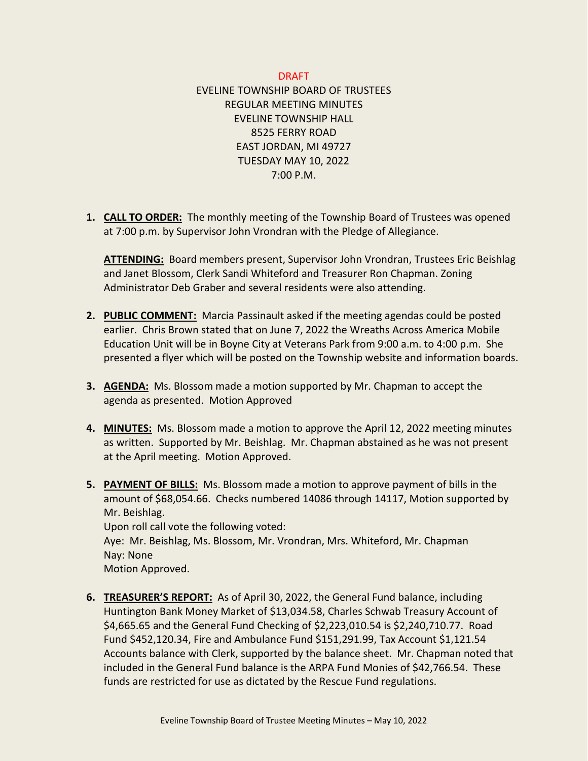## DRAFT

EVELINE TOWNSHIP BOARD OF TRUSTEES REGULAR MEETING MINUTES EVELINE TOWNSHIP HALL 8525 FERRY ROAD EAST JORDAN, MI 49727 TUESDAY MAY 10, 2022 7:00 P.M.

**1. CALL TO ORDER:** The monthly meeting of the Township Board of Trustees was opened at 7:00 p.m. by Supervisor John Vrondran with the Pledge of Allegiance.

**ATTENDING:** Board members present, Supervisor John Vrondran, Trustees Eric Beishlag and Janet Blossom, Clerk Sandi Whiteford and Treasurer Ron Chapman. Zoning Administrator Deb Graber and several residents were also attending.

- **2. PUBLIC COMMENT:** Marcia Passinault asked if the meeting agendas could be posted earlier. Chris Brown stated that on June 7, 2022 the Wreaths Across America Mobile Education Unit will be in Boyne City at Veterans Park from 9:00 a.m. to 4:00 p.m. She presented a flyer which will be posted on the Township website and information boards.
- **3. AGENDA:** Ms. Blossom made a motion supported by Mr. Chapman to accept the agenda as presented. Motion Approved
- **4. MINUTES:** Ms. Blossom made a motion to approve the April 12, 2022 meeting minutes as written. Supported by Mr. Beishlag. Mr. Chapman abstained as he was not present at the April meeting. Motion Approved.
- **5. PAYMENT OF BILLS:** Ms. Blossom made a motion to approve payment of bills in the amount of \$68,054.66. Checks numbered 14086 through 14117, Motion supported by Mr. Beishlag. Upon roll call vote the following voted: Aye: Mr. Beishlag, Ms. Blossom, Mr. Vrondran, Mrs. Whiteford, Mr. Chapman Nay: None

Motion Approved.

**6. TREASURER'S REPORT:** As of April 30, 2022, the General Fund balance, including Huntington Bank Money Market of \$13,034.58, Charles Schwab Treasury Account of \$4,665.65 and the General Fund Checking of \$2,223,010.54 is \$2,240,710.77. Road Fund \$452,120.34, Fire and Ambulance Fund \$151,291.99, Tax Account \$1,121.54 Accounts balance with Clerk, supported by the balance sheet. Mr. Chapman noted that included in the General Fund balance is the ARPA Fund Monies of \$42,766.54. These funds are restricted for use as dictated by the Rescue Fund regulations.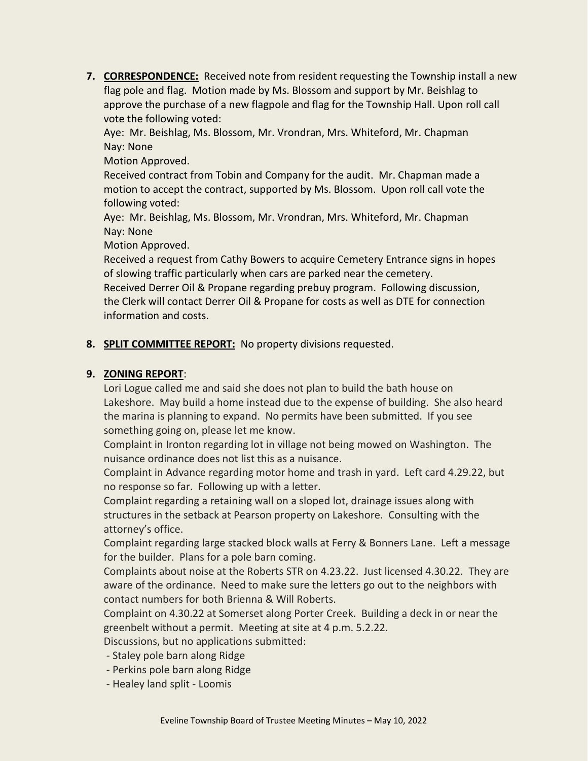**7. CORRESPONDENCE:** Received note from resident requesting the Township install a new flag pole and flag. Motion made by Ms. Blossom and support by Mr. Beishlag to approve the purchase of a new flagpole and flag for the Township Hall. Upon roll call vote the following voted:

Aye: Mr. Beishlag, Ms. Blossom, Mr. Vrondran, Mrs. Whiteford, Mr. Chapman Nay: None

Motion Approved.

Received contract from Tobin and Company for the audit. Mr. Chapman made a motion to accept the contract, supported by Ms. Blossom. Upon roll call vote the following voted:

Aye: Mr. Beishlag, Ms. Blossom, Mr. Vrondran, Mrs. Whiteford, Mr. Chapman Nay: None

Motion Approved.

Received a request from Cathy Bowers to acquire Cemetery Entrance signs in hopes of slowing traffic particularly when cars are parked near the cemetery. Received Derrer Oil & Propane regarding prebuy program. Following discussion, the Clerk will contact Derrer Oil & Propane for costs as well as DTE for connection information and costs.

## **8. SPLIT COMMITTEE REPORT:** No property divisions requested.

## **9. ZONING REPORT**:

Lori Logue called me and said she does not plan to build the bath house on Lakeshore. May build a home instead due to the expense of building. She also heard the marina is planning to expand. No permits have been submitted. If you see something going on, please let me know.

Complaint in Ironton regarding lot in village not being mowed on Washington. The nuisance ordinance does not list this as a nuisance.

Complaint in Advance regarding motor home and trash in yard. Left card 4.29.22, but no response so far. Following up with a letter.

Complaint regarding a retaining wall on a sloped lot, drainage issues along with structures in the setback at Pearson property on Lakeshore. Consulting with the attorney's office.

Complaint regarding large stacked block walls at Ferry & Bonners Lane. Left a message for the builder. Plans for a pole barn coming.

Complaints about noise at the Roberts STR on 4.23.22. Just licensed 4.30.22. They are aware of the ordinance. Need to make sure the letters go out to the neighbors with contact numbers for both Brienna & Will Roberts.

Complaint on 4.30.22 at Somerset along Porter Creek. Building a deck in or near the greenbelt without a permit. Meeting at site at 4 p.m. 5.2.22.

Discussions, but no applications submitted:

- Staley pole barn along Ridge
- Perkins pole barn along Ridge
- Healey land split Loomis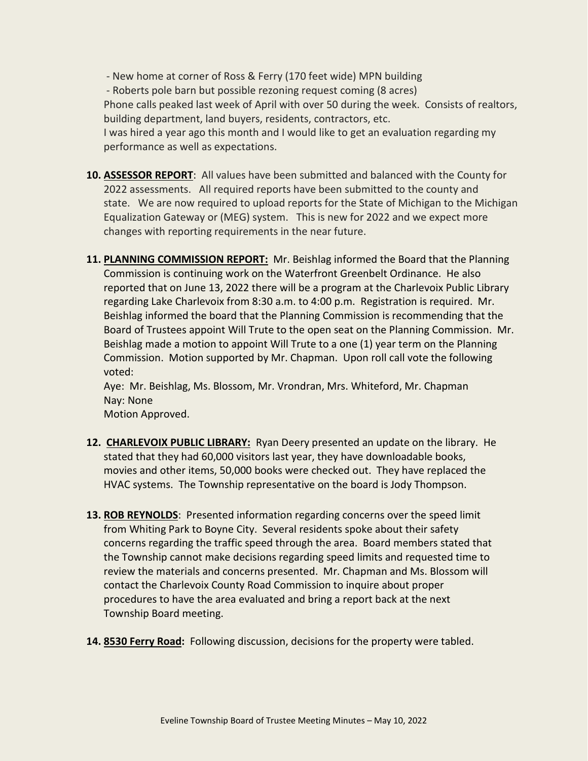- New home at corner of Ross & Ferry (170 feet wide) MPN building - Roberts pole barn but possible rezoning request coming (8 acres) Phone calls peaked last week of April with over 50 during the week. Consists of realtors, building department, land buyers, residents, contractors, etc. I was hired a year ago this month and I would like to get an evaluation regarding my performance as well as expectations.

- **10. ASSESSOR REPORT**: All values have been submitted and balanced with the County for 2022 assessments. All required reports have been submitted to the county and state. We are now required to upload reports for the State of Michigan to the Michigan Equalization Gateway or (MEG) system. This is new for 2022 and we expect more changes with reporting requirements in the near future.
- **11. PLANNING COMMISSION REPORT:** Mr. Beishlag informed the Board that the Planning Commission is continuing work on the Waterfront Greenbelt Ordinance. He also reported that on June 13, 2022 there will be a program at the Charlevoix Public Library regarding Lake Charlevoix from 8:30 a.m. to 4:00 p.m. Registration is required. Mr. Beishlag informed the board that the Planning Commission is recommending that the Board of Trustees appoint Will Trute to the open seat on the Planning Commission. Mr. Beishlag made a motion to appoint Will Trute to a one (1) year term on the Planning Commission. Motion supported by Mr. Chapman. Upon roll call vote the following voted:

Aye: Mr. Beishlag, Ms. Blossom, Mr. Vrondran, Mrs. Whiteford, Mr. Chapman Nay: None

Motion Approved.

- **12. CHARLEVOIX PUBLIC LIBRARY:** Ryan Deery presented an update on the library. He stated that they had 60,000 visitors last year, they have downloadable books, movies and other items, 50,000 books were checked out. They have replaced the HVAC systems. The Township representative on the board is Jody Thompson.
- **13. ROB REYNOLDS**: Presented information regarding concerns over the speed limit from Whiting Park to Boyne City. Several residents spoke about their safety concerns regarding the traffic speed through the area. Board members stated that the Township cannot make decisions regarding speed limits and requested time to review the materials and concerns presented. Mr. Chapman and Ms. Blossom will contact the Charlevoix County Road Commission to inquire about proper procedures to have the area evaluated and bring a report back at the next Township Board meeting.
- **14. 8530 Ferry Road:** Following discussion, decisions for the property were tabled.